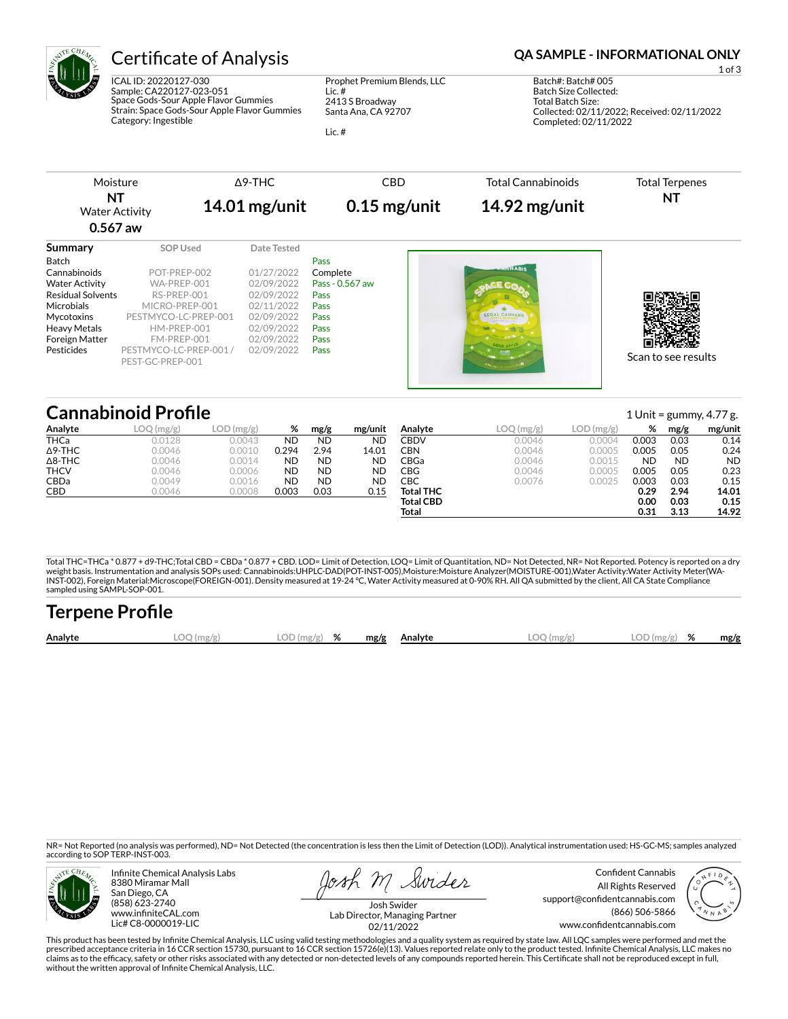

ICAL ID: 20220127-030 Sample: CA220127-023-051 Space Gods-Sour Apple Flavor Gummies Strain: Space Gods-Sour Apple Flavor Gummies Category: Ingestible

Prophet Premium Blends, LLC Lic. # 2413 S Broadway Santa Ana, CA 92707

Lic. #

## Certificate of Analysis **Certificate of Analysis QA SAMPLE - INFORMATIONAL ONLY**

1 of 3 Batch#: Batch# 005 Batch Size Collected: Total Batch Size: Collected: 02/11/2022; Received: 02/11/2022 Completed: 02/11/2022

|                          | Moisture                                   | $\triangle$ 9-THC | <b>CBD</b>      | <b>Total Cannabinoids</b> | <b>Total Terpenes</b> |
|--------------------------|--------------------------------------------|-------------------|-----------------|---------------------------|-----------------------|
| NT<br>$0.567$ aw         | $14.01$ mg/unit<br><b>Water Activity</b>   |                   | $0.15$ mg/unit  | $14.92$ mg/unit           | ΝT                    |
| Summary                  | <b>SOP Used</b>                            | Date Tested       |                 |                           |                       |
| Batch                    |                                            |                   | Pass            |                           |                       |
| Cannabinoids             | POT-PREP-002                               | 01/27/2022        | Complete        | <b>ENVIVABIS</b>          |                       |
| <b>Water Activity</b>    | WA-PREP-001                                | 02/09/2022        | Pass - 0.567 aw |                           |                       |
| <b>Residual Solvents</b> | RS-PREP-001                                | 02/09/2022        | Pass            |                           |                       |
| Microbials               | MICRO-PREP-001                             | 02/11/2022        | Pass            |                           |                       |
| Mycotoxins               | PESTMYCO-LC-PREP-001                       | 02/09/2022        | Pass            | <b>LEGAL CANNARIS</b>     |                       |
| <b>Heavy Metals</b>      | HM-PREP-001                                | 02/09/2022        | Pass            |                           |                       |
| Foreign Matter           | FM-PREP-001                                | 02/09/2022        | Pass            |                           |                       |
| Pesticides               | PESTMYCO-LC-PREP-001 /<br>PEST-GC-PREP-001 | 02/09/2022        | Pass            |                           | Scan to see results   |

# **Cannabinoid Profile** 1 Unit = gummy, 4.77 g.

|                | ——————————————————— |              |           |           |           |                  |           |            |           |           | $\pm$ of the gamming, i.e. $\mu$ |
|----------------|---------------------|--------------|-----------|-----------|-----------|------------------|-----------|------------|-----------|-----------|----------------------------------|
| Analyte        | LOQ (mg/g)          | $LOD$ (mg/g) | %         | mg/g      | mg/unit   | Analyte          | LOG(mg/g) | LOD (mg/g) | %         | mg/g      | mg/unit                          |
| THCa           | 0.0128              | 0.0043       | ND        | <b>ND</b> | <b>ND</b> | CBDV             | 0.0046    | 0.0004     | 0.003     | 0.03      | 0.14                             |
| $\Delta$ 9-THC | 0.0046              | 0.0010       | 0.294     | 2.94      | 14.01     | CBN              | 0.0046    | 0.0005     | 0.005     | 0.05      | 0.24                             |
| $\Delta$ 8-THC | 0.0046              | 0.0014       | <b>ND</b> | <b>ND</b> | <b>ND</b> | CBGa             | 0.0046    | 0.0015     | <b>ND</b> | <b>ND</b> | <b>ND</b>                        |
| <b>THCV</b>    | 0.0046              | 0.0006       | <b>ND</b> | <b>ND</b> | <b>ND</b> | CBG              | 0.0046    | 0.0005     | 0.005     | 0.05      | 0.23                             |
| CBDa           | 0.0049              | 0.0016       | <b>ND</b> | <b>ND</b> | <b>ND</b> | СВС              | 0.0076    | 0.0025     | 0.003     | 0.03      | 0.15                             |
| CBD            | 0.0046              | 0.0008       | 0.003     | 0.03      | 0.15      | <b>Total THC</b> |           |            | 0.29      | 2.94      | 14.01                            |
|                |                     |              |           |           |           | <b>Total CBD</b> |           |            | 0.00      | 0.03      | 0.15                             |
|                |                     |              |           |           |           | Total            |           |            | 0.31      | 3.13      | 14.92                            |

Total THC=THCa \* 0.877 + d9-THC;Total CBD = CBDa \* 0.877 + CBD. LOD= Limit of Detection, LOQ= Limit of Quantitation, ND= Not Detected, NR= Not Reported. Potency is reported on a dry<br>weight basis. Instrumentation and analys INST-002), Foreign Material:Microscope(FOREIGN-001). Density measured at 19-24 °C, Water Activity measured at 0-90% RH. All QA submitted by the client, All CA State Compliance sampled using SAMPL-SOP-001.

| <b>Terpene Profile</b> |            |               |  |              |              |               |      |
|------------------------|------------|---------------|--|--------------|--------------|---------------|------|
| Analyte                | LOQ (mg/g) | $LOD(mg/g)$ % |  | mg/g Analyte | $LOO$ (mg/g) | $LOD(mg/g)$ % | mg/g |

NR= Not Reported (no analysis was performed), ND= Not Detected (the concentration is less then the Limit of Detection (LOD)). Analytical instrumentation used: HS-GC-MS; samples analyzed according to SOP TERP-INST-003.



Infinite Chemical Analysis Labs 8380 Miramar Mall San Diego, CA (858) 623-2740 www.infiniteCAL.com Lic# C8-0000019-LIC

osh M Swider

Confident Cannabis All Rights Reserved support@confidentcannabis.com (866) 506-5866 www.confidentcannabis.com



Josh Swider Lab Director, Managing Partner 02/11/2022

This product has been tested by Infinite Chemical Analysis, LLC using valid testing methodologies and a quality system as required by state law. All LQC samples were performed and met the prescribed acceptance criteria in 16 CCR section 15730, pursuant to 16 CCR section 15726(e)(13). Values reported relate only to the product tested. Infinite Chemical Analysis, LLC makes no<br>claims as to the efficacy, safety without the written approval of Infinite Chemical Analysis, LLC.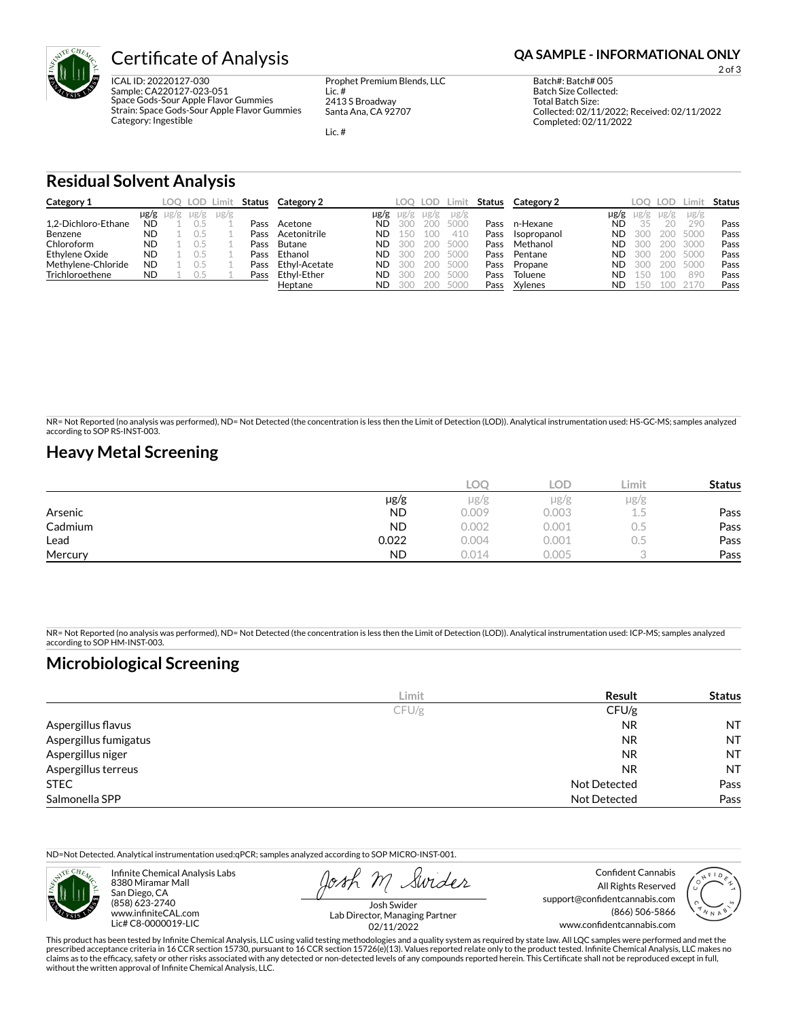

# **Certificate of Analysis <b>Certificate of Analysis QA SAMPLE - INFORMATIONAL ONLY**

ICAL ID: 20220127-030 Sample: CA220127-023-051 Space Gods-Sour Apple Flavor Gummies Strain: Space Gods-Sour Apple Flavor Gummies Category: Ingestible

Prophet Premium Blends, LLC Lic. # 2413 S Broadway Santa Ana, CA 92707

Lic. #

2 of 3

Batch#: Batch# 005 Batch Size Collected: Total Batch Size: Collected: 02/11/2022; Received: 02/11/2022 Completed: 02/11/2022

**Residual Solvent Analysis**

| Category 1          |           | LOO.                | LOD Limit |           |      | <b>Status</b> Category 2 |           | LOO       | LOD. | ∠imit     | Status | Category 2  |      | LOO  | <b>LOD</b> | .imi:     | Status |
|---------------------|-----------|---------------------|-----------|-----------|------|--------------------------|-----------|-----------|------|-----------|--------|-------------|------|------|------------|-----------|--------|
|                     |           | $\mu$ g/g $\mu$ g/g | $\mu$ g/g | $\mu$ g/g |      |                          | µg/g      | $\mu$ g/g | µg/g | $\mu$ g/g |        |             | µg/g | ug/g | $\mu$ g/g  | $\mu$ g/g |        |
| 1.2-Dichloro-Ethane | <b>ND</b> |                     |           |           | Pass | Acetone                  | <b>ND</b> | 300       | 200  | 5000      | Pass   | n-Hexane    | ND   | 35   | 20         | 290       | Pass   |
| Benzene             | <b>ND</b> |                     |           |           | Pass | Acetonitrile             | <b>ND</b> | 150       | 100  | 410       | Pass   | Isopropanol | ND.  | -300 | 200        | 5000      | Pass   |
| Chloroform          | <b>ND</b> |                     |           |           | Pass | Butane                   | <b>ND</b> | 300       |      | 200 5000  | Pass   | Methanol    | ND   | -300 | 200        | 3000      | Pass   |
| Ethylene Oxide      | <b>ND</b> |                     |           |           | Pass | Ethanol                  | <b>ND</b> | 300       |      | 200 5000  | Pass   | Pentane     | ND   | -300 | 200        | 5000      | Pass   |
| Methylene-Chloride  | <b>ND</b> |                     |           |           | Pass | Ethyl-Acetate            | <b>ND</b> | 300       |      | 200 5000  | Pass   | Propane     | ND.  | -300 | 200        | 5000      | Pass   |
| Trichloroethene     | <b>ND</b> |                     | 0.5       |           | Pass | Ethvl-Ether              | <b>ND</b> | 300       |      | 200 5000  | Pass   | Toluene     | ND   | 150  | 100        | 890       | Pass   |
|                     |           |                     |           |           |      | Heptane                  | <b>ND</b> | -300      |      | 200 5000  | Pass   | Xylenes     | ND   | 150  | 100        | 2170      | Pass   |

NR= Not Reported (no analysis was performed), ND= Not Detected (the concentration is less then the Limit of Detection (LOD)). Analytical instrumentation used: HS-GC-MS; samples analyzed according to SOP RS-INST-003.

### **Heavy Metal Screening**

|         |           | LOC   | LOD   | Limit     | <b>Status</b> |
|---------|-----------|-------|-------|-----------|---------------|
|         | µg/g      | µg/g  | µg/g  | $\mu$ g/g |               |
| Arsenic | <b>ND</b> | 0.009 | 0.003 | سيست      | Pass          |
| Cadmium | <b>ND</b> | 0.002 | 0.001 | U.J       | Pass          |
| Lead    | 0.022     | 0.004 | 0.001 | U.S       | Pass          |
| Mercury | <b>ND</b> | 0.014 | 0.005 |           | Pass          |

NR= Not Reported (no analysis was performed), ND= Not Detected (the concentration is less then the Limit of Detection (LOD)). Analytical instrumentation used: ICP-MS; samples analyzed according to SOP HM-INST-003.

## **Microbiological Screening**

|                       | Limit | Result              | <b>Status</b> |
|-----------------------|-------|---------------------|---------------|
|                       | CFU/g | CFU/g               |               |
| Aspergillus flavus    |       | <b>NR</b>           | <b>NT</b>     |
| Aspergillus fumigatus |       | <b>NR</b>           | <b>NT</b>     |
| Aspergillus niger     |       | <b>NR</b>           | <b>NT</b>     |
| Aspergillus terreus   |       | <b>NR</b>           | <b>NT</b>     |
| <b>STEC</b>           |       | Not Detected        | Pass          |
| Salmonella SPP        |       | <b>Not Detected</b> | Pass          |

ND=Not Detected. Analytical instrumentation used:qPCR; samples analyzed according to SOP MICRO-INST-001.



Infinite Chemical Analysis Labs 8380 Miramar Mall San Diego, CA (858) 623-2740 www.infiniteCAL.com Lic# C8-0000019-LIC

Swider

Confident Cannabis All Rights Reserved support@confidentcannabis.com (866) 506-5866 www.confidentcannabis.com



Josh Swider Lab Director, Managing Partner 02/11/2022

This product has been tested by Infinite Chemical Analysis, LLC using valid testing methodologies and a quality system as required by state law. All LQC samples were performed and met the prescribed acceptance criteria in 16 CCR section 15730, pursuant to 16 CCR section 15726(e)(13). Values reported relate only to the product tested. Infinite Chemical Analysis, LLC makes no<br>claims as to the efficacy, safety without the written approval of Infinite Chemical Analysis, LLC.